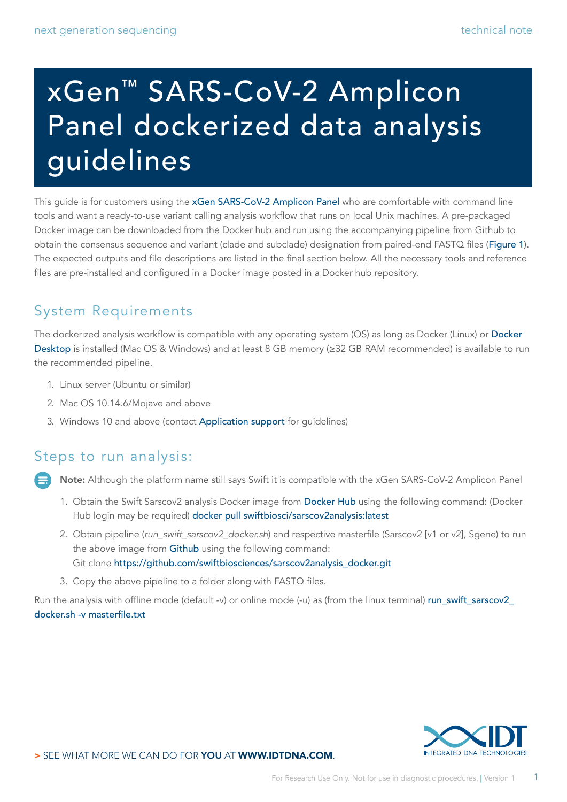# xGen™ SARS-CoV-2 Amplicon Panel dockerized data analysis guidelines

This guide is for customers using the [xGen SARS-CoV-2 Amplicon Panel](https://www.idtdna.com/pages/products/next-generation-sequencing/workflow/xgen-ngs-amplicon-sequencing/predesigned-amplicon-panels/sars-cov-2-amp-panel) who are comfortable with command line tools and want a ready-to-use variant calling analysis workflow that runs on local Unix machines. A pre-packaged Docker image can be downloaded from the Docker hub and run using the accompanying pipeline from Github to obtain the consensus sequence and variant (clade and subclade) designation from paired-end FASTQ files ([Figure 1](#page-1-0)). The expected outputs and file descriptions are listed in the final section below. All the necessary tools and reference files are pre-installed and configured in a Docker image posted in a Docker hub repository.

# System Requirements

The dockerized analysis workflow is compatible with any operating system (OS) as long as Docker (Linux) or [Docker](https://www.docker.com/products/docker-desktop)  [Desktop](https://www.docker.com/products/docker-desktop) is installed (Mac OS & Windows) and at least 8 GB memory (≥32 GB RAM recommended) is available to run the recommended pipeline.

- 1. Linux server (Ubuntu or similar)
- 2. Mac OS 10.14.6/Mojave and above
- 3. Windows 10 and above (contact [Application support](mailto:applicationsupport%40idtdna.com?subject=) for guidelines)

# Steps to run analysis:

Note: Although the platform name still says Swift it is compatible with the xGen SARS-CoV-2 Amplicon Panel

- 1. Obtain the Swift Sarscov2 analysis Docker image from [Docker Hub](https://hub.docker.com/r/swiftbiosci/sarscov2analysis ) using the following command: (Docker Hub login may be required) docker pull swiftbiosci/sarscov2analysis:latest
- 2. Obtain pipeline (*run\_swift\_sarscov2\_docker.sh*) and respective masterfile (Sarscov2 [v1 or v2], Sgene) to run the above image from [Github](https://github.com/swiftbiosciences/sarscov2analysis_docker) using the following command: Git clone https://github.com/swiftbiosciences/sarscov2analysis\_docker.git
- 3. Copy the above pipeline to a folder along with FASTQ files.

Run the analysis with offline mode (default -v) or online mode (-u) as (from the linux terminal) [run\\_swift\\_sarscov2\\_](http://run_swift_sarscov2_docker.sh -v masterfile.txt) [docker.sh -v masterfile.txt](http://run_swift_sarscov2_docker.sh -v masterfile.txt)

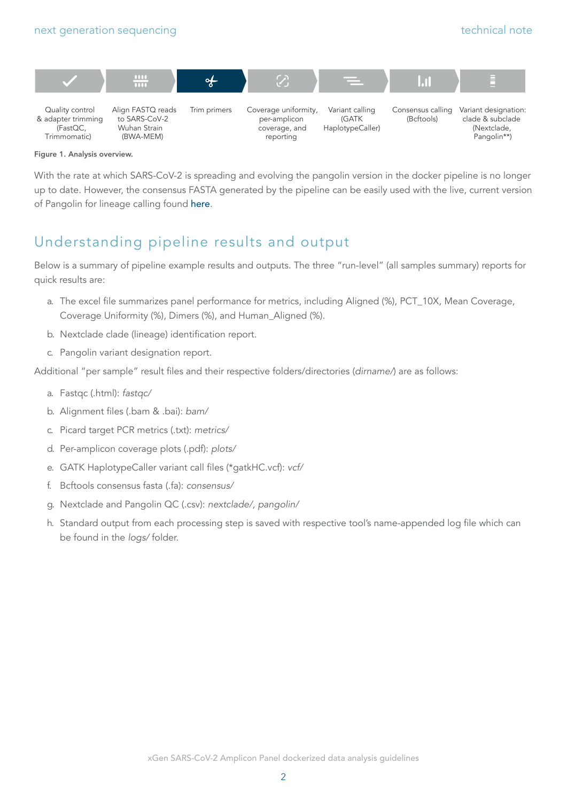<span id="page-1-0"></span>



#### Figure 1. Analysis overview.

With the rate at which SARS-CoV-2 is spreading and evolving the pangolin version in the docker pipeline is no longer up to date. However, the consensus FASTA generated by the pipeline can be easily used with the live, current version of Pangolin for lineage calling found [here](https://cov-lineages.org/resources/pangolin.html).

# Understanding pipeline results and output

Below is a summary of pipeline example results and outputs. The three "run-level" (all samples summary) reports for quick results are:

- a. The excel file summarizes panel performance for metrics, including Aligned (%), PCT\_10X, Mean Coverage, Coverage Uniformity (%), Dimers (%), and Human\_Aligned (%).
- b. Nextclade clade (lineage) identification report.
- c. Pangolin variant designation report.

Additional "per sample" result files and their respective folders/directories (*dirname/*) are as follows:

- a. Fastqc (.html): *fastqc/*
- b. Alignment files (.bam & .bai): *bam/*
- c. Picard target PCR metrics (.txt): *metrics/*
- d. Per-amplicon coverage plots (.pdf): *plots/*
- e. GATK HaplotypeCaller variant call files (\*gatkHC.vcf): *vcf/*
- f. Bcftools consensus fasta (.fa): *consensus/*
- g. Nextclade and Pangolin QC (.csv): *nextclade/, pangolin/*
- h. Standard output from each processing step is saved with respective tool's name-appended log file which can be found in the *logs/* folder.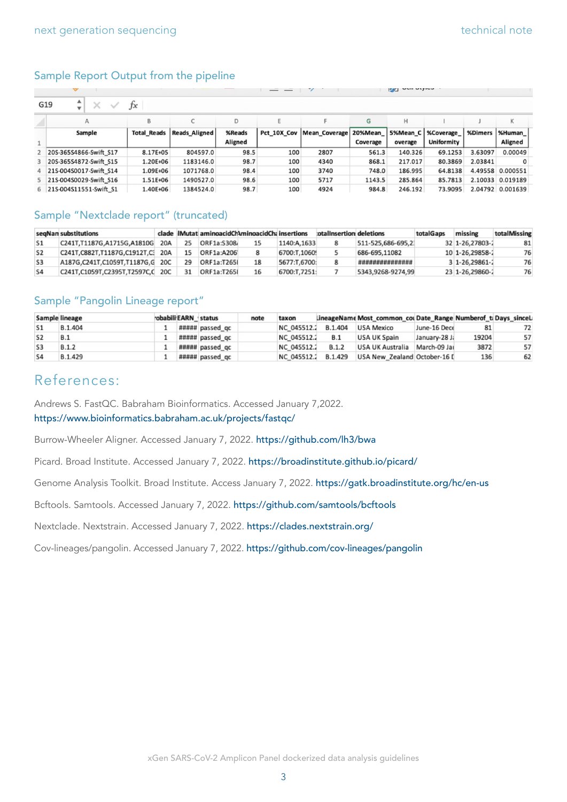#### Sample Report Output from the pipeline

|                                          |                    |                      |                   |     |                                       |          | $\frac{1}{2}$       |                                |         |                          |  |  |
|------------------------------------------|--------------------|----------------------|-------------------|-----|---------------------------------------|----------|---------------------|--------------------------------|---------|--------------------------|--|--|
| ▲<br>G19<br>×<br>Ťх<br>$\checkmark$<br>v |                    |                      |                   |     |                                       |          |                     |                                |         |                          |  |  |
| Α                                        | B                  |                      | D                 |     |                                       | G        | Н                   |                                |         | К                        |  |  |
| Sample                                   | <b>Total Reads</b> | <b>Reads Aligned</b> | %Reads<br>Aligned |     | Pct 10X Cov   Mean Coverage   20%Mean | Coverage | 5%Mean_C<br>overage | <b>%Coverage</b><br>Uniformity | %Dimers | %Human<br><b>Aligned</b> |  |  |
| 20S-365S4866-Swift S17                   | 8.17E+05           | 804597.0             | 98.5              | 100 | 2807                                  | 561.3    | 140.326             | 69.1253                        | 3.63097 | 0.00049                  |  |  |
| 3 20S-365S4872-Swift S15                 | L.20E+06           | 1183146.0            | 98.7              | 100 | 4340                                  | 868.1    | 217.017             | 80.3869                        | 2.03841 |                          |  |  |
| 4 21S-004S0017-Swift S14                 | 1.09E+06           | 1071768.0            | 98.4              | 100 | 3740                                  | 748.0    | 186.995             | 64.8138                        |         | 4.49558 0.000551         |  |  |
| 5 21S-004S0029-Swift S16                 | 1.51E+06           | 1490527.0            | 98.6              | 100 | 5717                                  | 1143.5   | 285.864             | 85.7813                        |         | 2.10033 0.019189         |  |  |
| 6 215-004S11551-Swift S1                 | .40E+06            | 1384524.0            | 98.7              | 100 | 4924                                  | 984.8    | 246.192             | 73.9095                        |         | 2.04792 0.001639         |  |  |

### Sample "Nextclade report" (truncated)

|                | segNan substitutions             |     |    | clade IMutat aminoacidChAminoacidChainsertions |    |              | otalinsertion deletions |                   | totalGaps | missing         | totalMissing |
|----------------|----------------------------------|-----|----|------------------------------------------------|----|--------------|-------------------------|-------------------|-----------|-----------------|--------------|
|                | C241T.T1187G.A1715G.A1810G       | 20A |    | ORF1a:S308                                     |    | 1140:A.1633  |                         | 511-525.686-695.2 |           | 32 1-26.27803-2 | 81           |
| S <sub>2</sub> | C241T.C882T.T1187G.C1912T.C3 20A |     | 15 | ORF1a:A206                                     |    | 6700:T.10609 |                         | 686-695.11082     |           | 10 1-26.29858-2 | 76           |
| S <sub>3</sub> | A187G.C241T.C1059T.T1187G.G 20C  |     | 29 | ORF1a:T265I                                    | 18 | 5677:T.6700: |                         | ****************  |           | 3 1-26.29861-2  | 76           |
| S <sub>4</sub> | C241T.C1059T.C2395T.T2597C.C 20C |     |    | <b>ORF1a:T265I</b>                             | 16 | 6700:T.7251: |                         | 5343.9268-9274.99 |           | 23 1-26.29860-2 | 76           |

#### Sample "Pangolin Lineage report"

|                | <b>Sample lineage</b> | robabili EARN status |                 | note | taxon       |                | LineageName Most_common_cou Date_Range Numberof_ti Days_sinceL: |               |       |    |
|----------------|-----------------------|----------------------|-----------------|------|-------------|----------------|-----------------------------------------------------------------|---------------|-------|----|
|                | B.1.404               |                      | ##### passed gc |      | NC 045512.2 | <b>B.1.404</b> | <b>USA Mexico</b>                                               | June-16 Dece  | 81    | 72 |
|                | <b>B.1</b>            |                      | ##### passed gc |      | NC 045512.2 | B.1            | USA UK Spain                                                    | January-28 J; | 19204 | 57 |
|                | B.1.2                 |                      | ##### passed gc |      | NC 045512.2 | B.1.2          | USA UK Australia                                                | March-09 Jai  | 3872  | 57 |
| S <sub>4</sub> | B.1.429               |                      | ##### passed qc |      | NC 045512.2 | B.1.429        | USA New Zealand October-16 [                                    |               | 136   | 62 |

# References:

Andrews S. FastQC. Babraham Bioinformatics. Accessed January 7,2022. https://www.bioinformatics.babraham.ac.uk/projects/fastqc/

Burrow-Wheeler Aligner. Accessed January 7, 2022. https://github.com/lh3/bwa

Picard. Broad Institute. Accessed January 7, 2022. https://broadinstitute.github.io/picard/

Genome Analysis Toolkit. Broad Institute. Access January 7, 2022. https://gatk.broadinstitute.org/hc/en-us

Bcftools. Samtools. Accessed January 7, 2022. https://github.com/samtools/bcftools

Nextclade. Nextstrain. Accessed January 7, 2022. https://clades.nextstrain.org/

Cov-lineages/pangolin. Accessed January 7, 2022. https://github.com/cov-lineages/pangolin